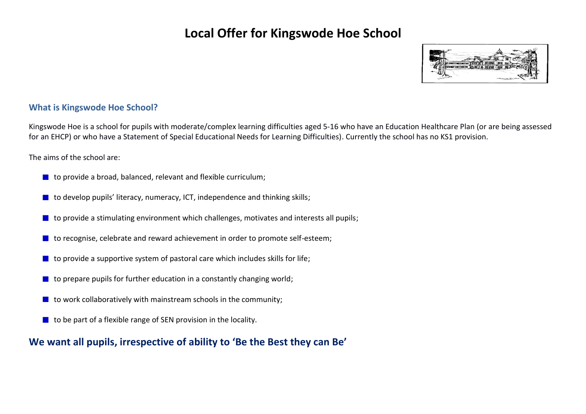

### **What is Kingswode Hoe School?**

Kingswode Hoe is a school for pupils with moderate/complex learning difficulties aged 5-16 who have an Education Healthcare Plan (or are being assessed for an EHCP) or who have a Statement of Special Educational Needs for Learning Difficulties). Currently the school has no KS1 provision.

The aims of the school are:

- $\blacksquare$  to provide a broad, balanced, relevant and flexible curriculum;
- $\blacksquare$  to develop pupils' literacy, numeracy, ICT, independence and thinking skills;
- $\blacksquare$  to provide a stimulating environment which challenges, motivates and interests all pupils;
- $\blacksquare$  to recognise, celebrate and reward achievement in order to promote self-esteem;
- to provide a supportive system of pastoral care which includes skills for life;
- $\blacksquare$  to prepare pupils for further education in a constantly changing world;
- $\blacksquare$  to work collaboratively with mainstream schools in the community:
- to be part of a flexible range of SEN provision in the locality.

## **We want all pupils, irrespective of ability to 'Be the Best they can Be'**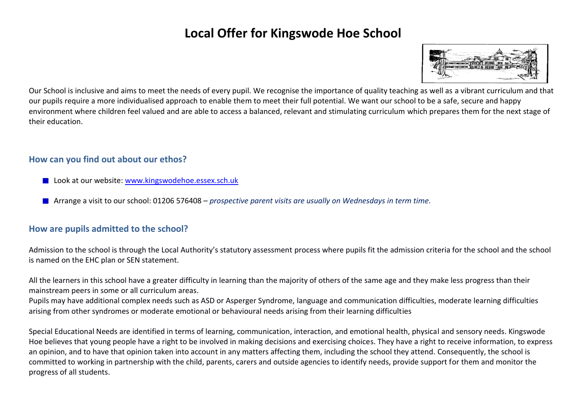

Our School is inclusive and aims to meet the needs of every pupil. We recognise the importance of quality teaching as well as a vibrant curriculum and that our pupils require a more individualised approach to enable them to meet their full potential. We want our school to be a safe, secure and happy environment where children feel valued and are able to access a balanced, relevant and stimulating curriculum which prepares them for the next stage of their education.

### **How can you find out about our ethos?**

- Look at our website: [www.kingswodehoe.essex.sch.uk](http://www.kingswodehoe.essex.sch.uk/)
- Arrange a visit to our school: 01206 576408 *prospective parent visits are usually on Wednesdays in term time.*

### **How are pupils admitted to the school?**

Admission to the school is through the Local Authority's statutory assessment process where pupils fit the admission criteria for the school and the school is named on the EHC plan or SEN statement.

All the learners in this school have a greater difficulty in learning than the majority of others of the same age and they make less progress than their mainstream peers in some or all curriculum areas.

Pupils may have additional complex needs such as ASD or Asperger Syndrome, language and communication difficulties, moderate learning difficulties arising from other syndromes or moderate emotional or behavioural needs arising from their learning difficulties

Special Educational Needs are identified in terms of learning, communication, interaction, and emotional health, physical and sensory needs. Kingswode Hoe believes that young people have a right to be involved in making decisions and exercising choices. They have a right to receive information, to express an opinion, and to have that opinion taken into account in any matters affecting them, including the school they attend. Consequently, the school is committed to working in partnership with the child, parents, carers and outside agencies to identify needs, provide support for them and monitor the progress of all students.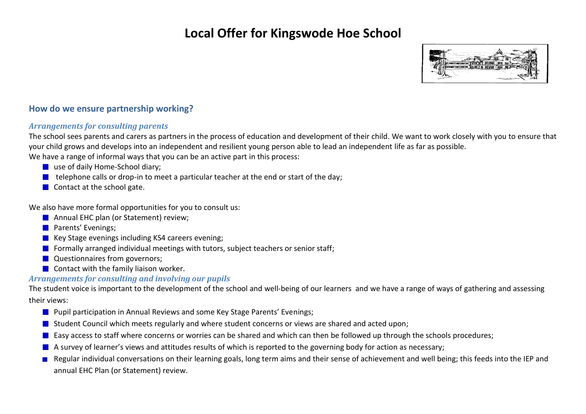

### **How do we ensure partnership working?**

#### *Arrangements for consulting parents*

The school sees parents and carers as partners in the process of education and development of their child. We want to work closely with you to ensure that your child grows and develops into an independent and resilient young person able to lead an independent life as far as possible.

We have a range of informal ways that you can be an active part in this process:

- use of daily Home-School diary;
- $\blacksquare$  telephone calls or drop-in to meet a particular teacher at the end or start of the day;
- $\blacksquare$  Contact at the school gate.

We also have more formal opportunities for you to consult us:

- **Annual EHC plan (or Statement) review;**
- **Parents' Evenings:**
- Key Stage evenings including KS4 careers evening;
- **Formally arranged individual meetings with tutors, subject teachers or senior staff;**
- **Questionnaires from governors;**
- $\blacksquare$  Contact with the family liaison worker.

### *Arrangements for consulting and involving our pupils*

The student voice is important to the development of the school and well-being of our learners and we have a range of ways of gathering and assessing their views:

- **Pupil participation in Annual Reviews and some Key Stage Parents' Evenings;**
- **Student Council which meets regularly and where student concerns or views are shared and acted upon;**
- **E** Easy access to staff where concerns or worries can be shared and which can then be followed up through the schools procedures;
- A survey of learner's views and attitudes results of which is reported to the governing body for action as necessary;
- Regular individual conversations on their learning goals, long term aims and their sense of achievement and well being; this feeds into the IEP and annual EHC Plan (or Statement) review.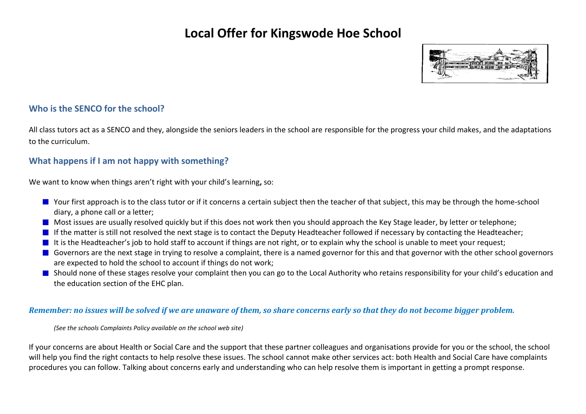

### **Who is the SENCO for the school?**

All class tutors act as a SENCO and they, alongside the seniors leaders in the school are responsible for the progress your child makes, and the adaptations to the curriculum.

## **What happens if I am not happy with something?**

We want to know when things aren't right with your child's learning**,** so:

- Your first approach is to the class tutor or if it concerns a certain subject then the teacher of that subject, this may be through the home-school diary, a phone call or a letter;
- Most issues are usually resolved quickly but if this does not work then you should approach the Key Stage leader, by letter or telephone;
- If the matter is still not resolved the next stage is to contact the Deputy Headteacher followed if necessary by contacting the Headteacher;
- It is the Headteacher's job to hold staff to account if things are not right, or to explain why the school is unable to meet your request;
- Governors are the next stage in trying to resolve a complaint, there is a named governor for this and that governor with the other school governors are expected to hold the school to account if things do not work;
- Should none of these stages resolve your complaint then you can go to the Local Authority who retains responsibility for your child's education and the education section of the EHC plan.

#### *Remember: no issues will be solved if we are unaware of them, so share concerns early so that they do not become bigger problem.*

*(See the schools Complaints Policy available on the school web site)*

If your concerns are about Health or Social Care and the support that these partner colleagues and organisations provide for you or the school, the school will help you find the right contacts to help resolve these issues. The school cannot make other services act: both Health and Social Care have complaints procedures you can follow. Talking about concerns early and understanding who can help resolve them is important in getting a prompt response.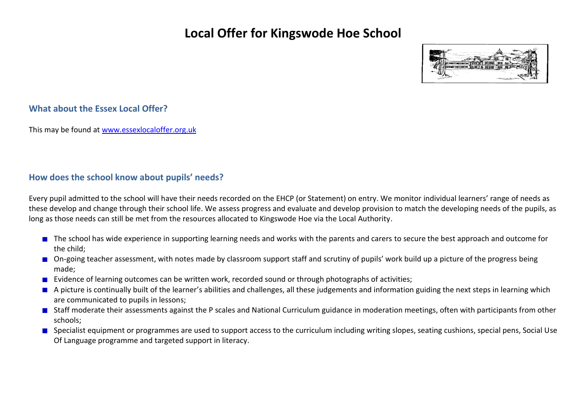

### **What about the Essex Local Offer?**

This may be found at [www.essexlocaloffer.org.uk](http://www.essexlocaloffer.org.uk/)

## **How does the school know about pupils' needs?**

Every pupil admitted to the school will have their needs recorded on the EHCP (or Statement) on entry. We monitor individual learners' range of needs as these develop and change through their school life. We assess progress and evaluate and develop provision to match the developing needs of the pupils, as long as those needs can still be met from the resources allocated to Kingswode Hoe via the Local Authority.

- The school has wide experience in supporting learning needs and works with the parents and carers to secure the best approach and outcome for the child;
- On-going teacher assessment, with notes made by classroom support staff and scrutiny of pupils' work build up a picture of the progress being made;
- **EVIDENCE OF LEART CONCERT CONCERT CONCERT** EVIDENCES; **EVIDENCES** EVIDENCES; **EVIDENCES** EVIDENCES; **EVIDENCES** EVIDENCES;
- A picture is continually built of the learner's abilities and challenges, all these judgements and information guiding the next steps in learning which are communicated to pupils in lessons;
- Staff moderate their assessments against the P scales and National Curriculum guidance in moderation meetings, often with participants from other schools;
- **Specialist equipment or programmes are used to support access to the curriculum including writing slopes, seating cushions, special pens, Social Use** Of Language programme and targeted support in literacy.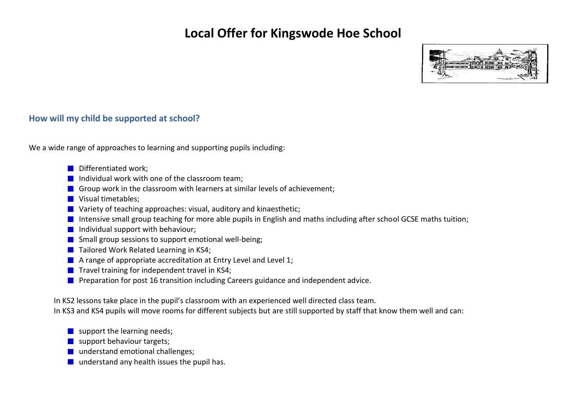

### **How will my child be supported at school?**

We a wide range of approaches to learning and supporting pupils including:

- Differentiated work;
- Individual work with one of the classroom team:
- Group work in the classroom with learners at similar levels of achievement;
- **Visual timetables;**
- **No Variety of teaching approaches: visual, auditory and kinaesthetic;**
- Intensive small group teaching for more able pupils in English and maths including after school GCSE maths tuition;
- $\blacksquare$  Individual support with behaviour:
- $\Box$  Small group sessions to support emotional well-being;
- Tailored Work Related Learning in KS4;
- $\blacksquare$  A range of appropriate accreditation at Entry Level and Level 1;
- $\blacksquare$  Travel training for independent travel in KS4:
- **Preparation for post 16 transition including Careers guidance and independent advice.**

In KS2 lessons take place in the pupil's classroom with an experienced well directed class team.

In KS3 and KS4 pupils will move rooms for different subjects but are still supported by staff that know them well and can:

- $\blacksquare$  support the learning needs;
- support behaviour targets;
- understand emotional challenges;
- $\blacksquare$  understand any health issues the pupil has.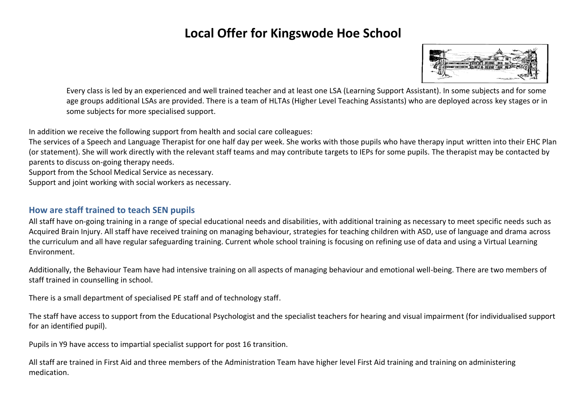

Every class is led by an experienced and well trained teacher and at least one LSA (Learning Support Assistant). In some subjects and for some age groups additional LSAs are provided. There is a team of HLTAs (Higher Level Teaching Assistants) who are deployed across key stages or in some subjects for more specialised support.

In addition we receive the following support from health and social care colleagues:

The services of a Speech and Language Therapist for one half day per week. She works with those pupils who have therapy input written into their EHC Plan (or statement). She will work directly with the relevant staff teams and may contribute targets to IEPs for some pupils. The therapist may be contacted by parents to discuss on-going therapy needs.

Support from the School Medical Service as necessary.

Support and joint working with social workers as necessary.

### **How are staff trained to teach SEN pupils**

All staff have on-going training in a range of special educational needs and disabilities, with additional training as necessary to meet specific needs such as Acquired Brain Injury. All staff have received training on managing behaviour, strategies for teaching children with ASD, use of language and drama across the curriculum and all have regular safeguarding training. Current whole school training is focusing on refining use of data and using a Virtual Learning Environment.

Additionally, the Behaviour Team have had intensive training on all aspects of managing behaviour and emotional well-being. There are two members of staff trained in counselling in school.

There is a small department of specialised PE staff and of technology staff.

The staff have access to support from the Educational Psychologist and the specialist teachers for hearing and visual impairment (for individualised support for an identified pupil).

Pupils in Y9 have access to impartial specialist support for post 16 transition.

All staff are trained in First Aid and three members of the Administration Team have higher level First Aid training and training on administering medication.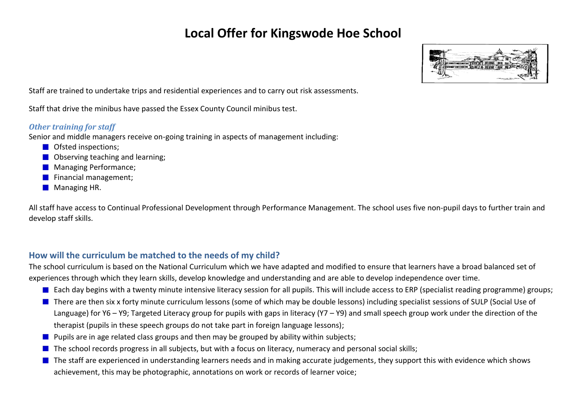

Staff are trained to undertake trips and residential experiences and to carry out risk assessments.

Staff that drive the minibus have passed the Essex County Council minibus test.

#### *Other training for staff*

Senior and middle managers receive on-going training in aspects of management including:

- **O** Ofsted inspections;
- **Observing teaching and learning;**
- **Managing Performance;**
- **Financial management;**
- **Managing HR.**

All staff have access to Continual Professional Development through Performance Management. The school uses five non-pupil days to further train and develop staff skills.

## **How will the curriculum be matched to the needs of my child?**

The school curriculum is based on the National Curriculum which we have adapted and modified to ensure that learners have a broad balanced set of experiences through which they learn skills, develop knowledge and understanding and are able to develop independence over time.

- Each day begins with a twenty minute intensive literacy session for all pupils. This will include access to ERP (specialist reading programme) groups;
- There are then six x forty minute curriculum lessons (some of which may be double lessons) including specialist sessions of SULP (Social Use of Language) for Y6 – Y9; Targeted Literacy group for pupils with gaps in literacy (Y7 – Y9) and small speech group work under the direction of the therapist (pupils in these speech groups do not take part in foreign language lessons);
- **Pupils are in age related class groups and then may be grouped by ability within subjects;**
- $\blacksquare$  The school records progress in all subjects, but with a focus on literacy, numeracy and personal social skills;
- The staff are experienced in understanding learners needs and in making accurate judgements, they support this with evidence which shows achievement, this may be photographic, annotations on work or records of learner voice;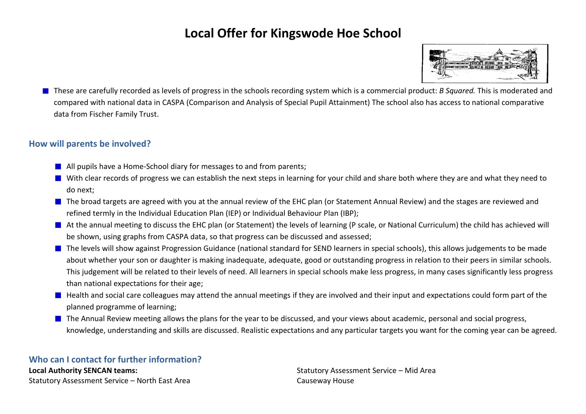

These are carefully recorded as levels of progress in the schools recording system which is a commercial product: *B Squared.* This is moderated and compared with national data in CASPA (Comparison and Analysis of Special Pupil Attainment) The school also has access to national comparative data from Fischer Family Trust.

### **How will parents be involved?**

- **All pupils have a Home-School diary for messages to and from parents;**
- With clear records of progress we can establish the next steps in learning for your child and share both where they are and what they need to do next;
- The broad targets are agreed with you at the annual review of the EHC plan (or Statement Annual Review) and the stages are reviewed and refined termly in the Individual Education Plan (IEP) or Individual Behaviour Plan (IBP);
- At the annual meeting to discuss the EHC plan (or Statement) the levels of learning (P scale, or National Curriculum) the child has achieved will be shown, using graphs from CASPA data, so that progress can be discussed and assessed;
- **The levels will show against Progression Guidance (national standard for SEND learners in special schools), this allows judgements to be made** about whether your son or daughter is making inadequate, adequate, good or outstanding progress in relation to their peers in similar schools. This judgement will be related to their levels of need. All learners in special schools make less progress, in many cases significantly less progress than national expectations for their age;
- Health and social care colleagues may attend the annual meetings if they are involved and their input and expectations could form part of the planned programme of learning;
- The Annual Review meeting allows the plans for the year to be discussed, and your views about academic, personal and social progress, knowledge, understanding and skills are discussed. Realistic expectations and any particular targets you want for the coming year can be agreed.

**Who can I contact for further information? Local Authority SENCAN teams:** Statutory Assessment Service – North East Area

Statutory Assessment Service – Mid Area Causeway House